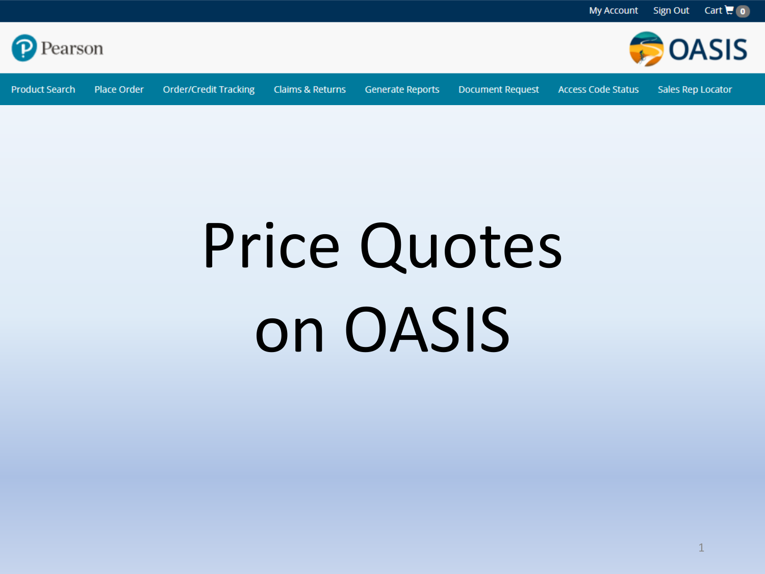

**Product Search** Place Order

**Order/Credit Tracking Claims & Returns**  **Generate Reports** 

Sales Rep Locator

**DOASIS** 

#### **Document Request**

**Access Code Status** 



# Price Quotes on OASIS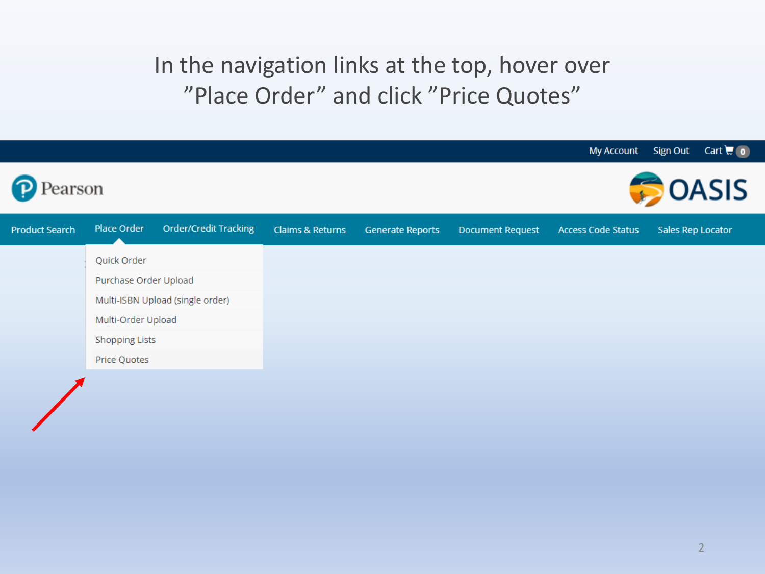# In the navigation links at the top, hover over "Place Order" and click "Price Quotes"

|                       |                                  |                       |                  |                         |                         |                           | My Account Sign Out Cart <b>H</b> 0 |
|-----------------------|----------------------------------|-----------------------|------------------|-------------------------|-------------------------|---------------------------|-------------------------------------|
| earson                |                                  |                       |                  |                         |                         |                           | <b>OASIS</b>                        |
| <b>Product Search</b> | Place Order                      | Order/Credit Tracking | Claims & Returns | <b>Generate Reports</b> | <b>Document Request</b> | <b>Access Code Status</b> | Sales Rep Locator                   |
|                       | Quick Order                      |                       |                  |                         |                         |                           |                                     |
|                       | Purchase Order Upload            |                       |                  |                         |                         |                           |                                     |
|                       | Multi-ISBN Upload (single order) |                       |                  |                         |                         |                           |                                     |
|                       | Multi-Order Upload               |                       |                  |                         |                         |                           |                                     |
|                       | <b>Shopping Lists</b>            |                       |                  |                         |                         |                           |                                     |
|                       | Price Quotes                     |                       |                  |                         |                         |                           |                                     |
|                       |                                  |                       |                  |                         |                         |                           |                                     |
|                       |                                  |                       |                  |                         |                         |                           |                                     |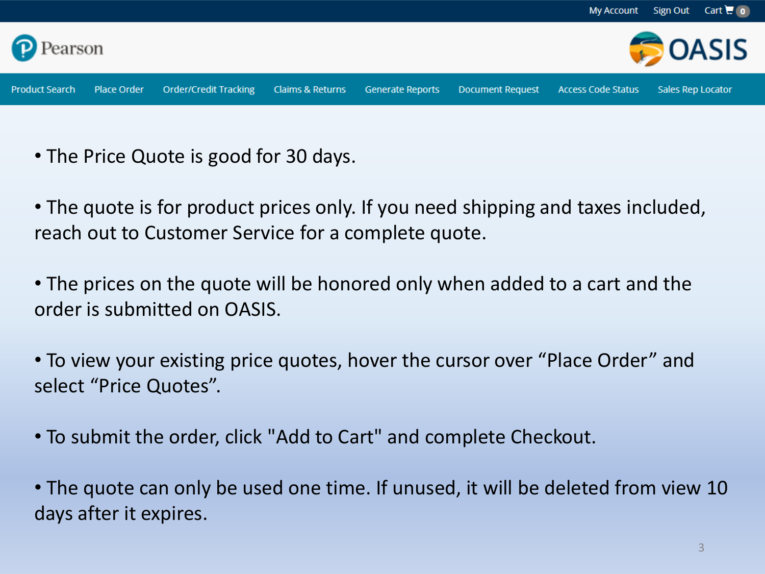

- The Price Quote is good for 30 days.
- The quote is for product prices only. If you need shipping and taxes included, reach out to Customer Service for a complete quote.
- The prices on the quote will be honored only when added to a cart and the order is submitted on OASIS.
- To view your existing price quotes, hover the cursor over "Place Order" and select "Price Quotes".
- To submit the order, click "Add to Cart" and complete Checkout.
- The quote can only be used one time. If unused, it will be deleted from view 10 days after it expires.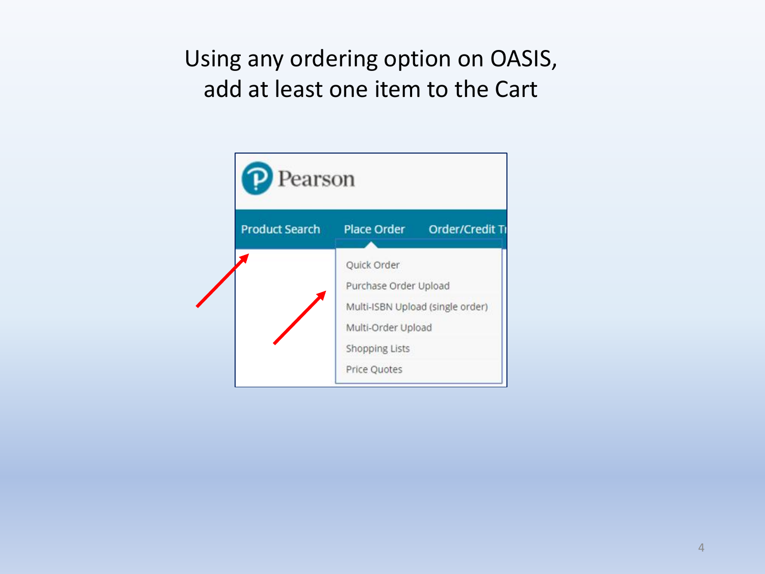# Using any ordering option on OASIS, add at least one item to the Cart

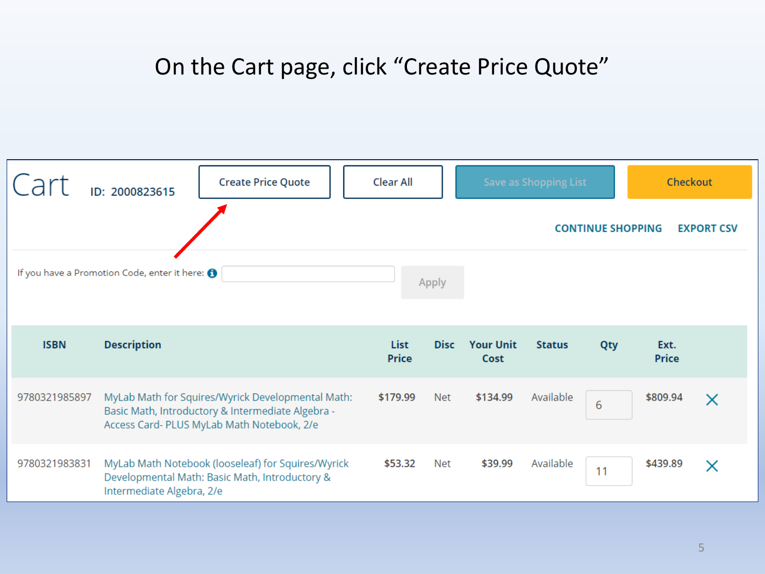### On the Cart page, click "Create Price Quote"

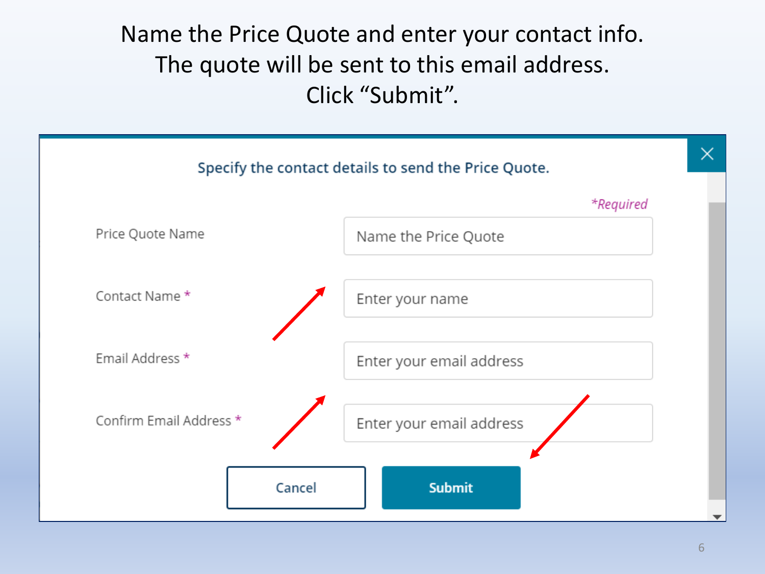# Name the Price Quote and enter your contact info. The quote will be sent to this email address. Click "Submit".

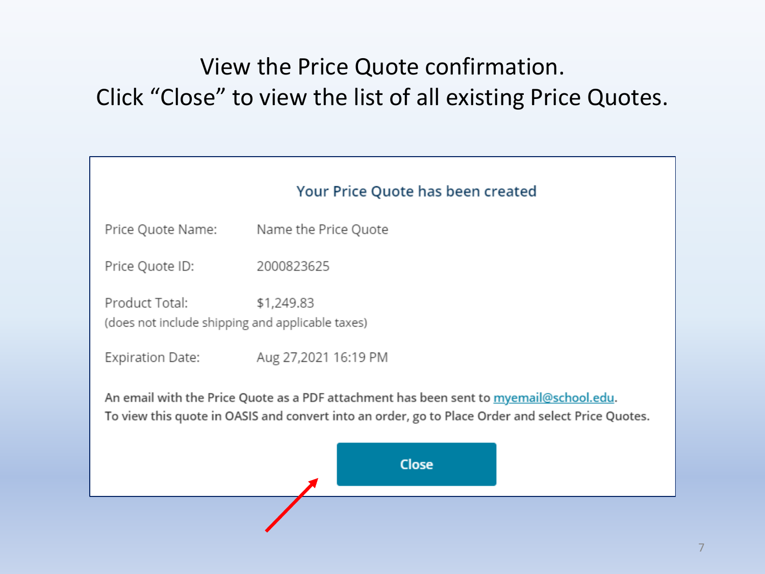# View the Price Quote confirmation. Click "Close" to view the list of all existing Price Quotes.

|                                                                                                                                                                                             | Your Price Quote has been created |  |  |  |  |  |
|---------------------------------------------------------------------------------------------------------------------------------------------------------------------------------------------|-----------------------------------|--|--|--|--|--|
| Price Quote Name:                                                                                                                                                                           | Name the Price Quote              |  |  |  |  |  |
| Price Quote ID:                                                                                                                                                                             | 2000823625                        |  |  |  |  |  |
| Product Total:<br>(does not include shipping and applicable taxes)                                                                                                                          | \$1,249.83                        |  |  |  |  |  |
| Expiration Date:                                                                                                                                                                            | Aug 27,2021 16:19 PM              |  |  |  |  |  |
| An email with the Price Quote as a PDF attachment has been sent to myemail@school.edu.<br>To view this quote in OASIS and convert into an order, go to Place Order and select Price Quotes. |                                   |  |  |  |  |  |
|                                                                                                                                                                                             | <b>Close</b>                      |  |  |  |  |  |
|                                                                                                                                                                                             |                                   |  |  |  |  |  |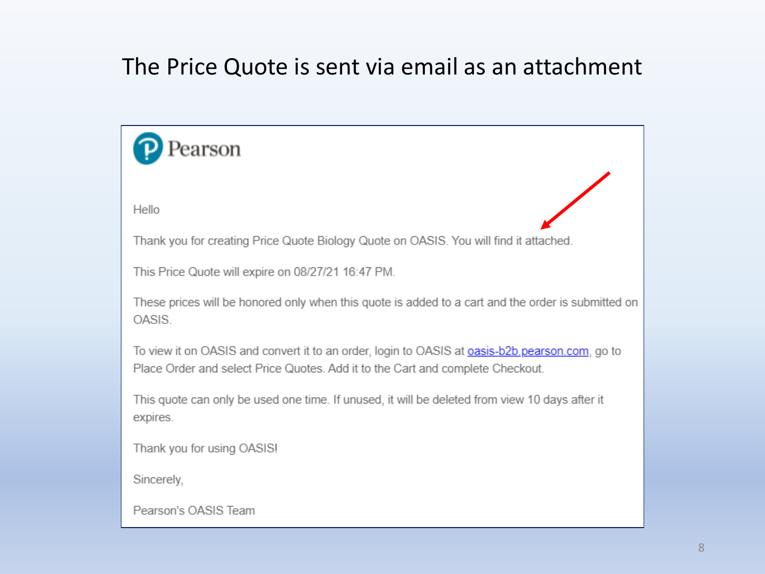# The Price Quote is sent via email as an attachment

| earson                                                                                                                                                                                   |
|------------------------------------------------------------------------------------------------------------------------------------------------------------------------------------------|
|                                                                                                                                                                                          |
| Hello                                                                                                                                                                                    |
| Thank you for creating Price Quote Biology Quote on OASIS. You will find it attached.                                                                                                    |
| This Price Quote will expire on 08/27/21 16:47 PM.                                                                                                                                       |
| These prices will be honored only when this quote is added to a cart and the order is submitted on<br>OASIS.                                                                             |
| To view it on OASIS and convert it to an order, login to OASIS at <b>oasis-b2b pearson.com</b> , go to<br>Place Order and select Price Quotes. Add it to the Cart and complete Checkout. |
| This quote can only be used one time. If unused, it will be deleted from view 10 days after it<br>expires.                                                                               |
| Thank you for using OASIS!                                                                                                                                                               |
| Sincerely,                                                                                                                                                                               |
| Pearson's OASIS Team                                                                                                                                                                     |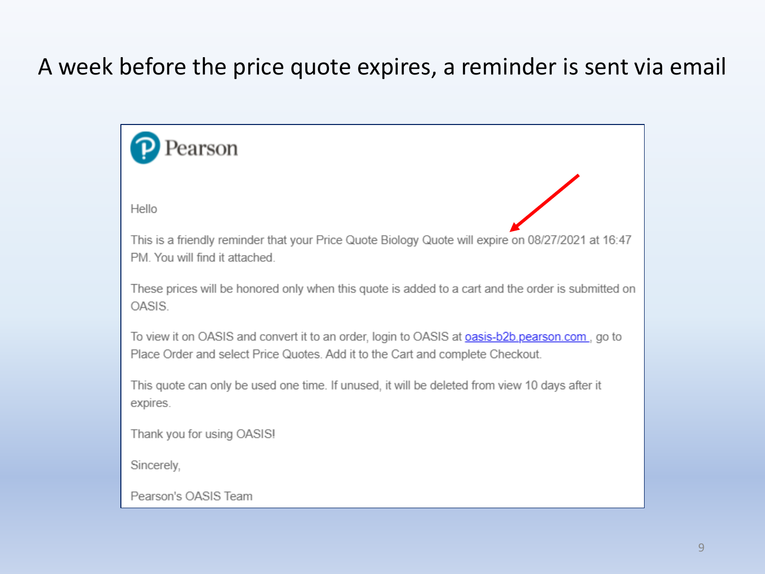# A week before the price quote expires, a reminder is sent via email

earson Hello This is a friendly reminder that your Price Quote Biology Quote will expire on 08/27/2021 at 16:47 PM. You will find it attached. These prices will be honored only when this quote is added to a cart and the order is submitted on OASIS. To view it on OASIS and convert it to an order, login to OASIS at **oasis-b2b pearson.com**, go to Place Order and select Price Quotes. Add it to the Cart and complete Checkout. This quote can only be used one time. If unused, it will be deleted from view 10 days after it expires. Thank you for using OASIS! Sincerely, Pearson's OASIS Team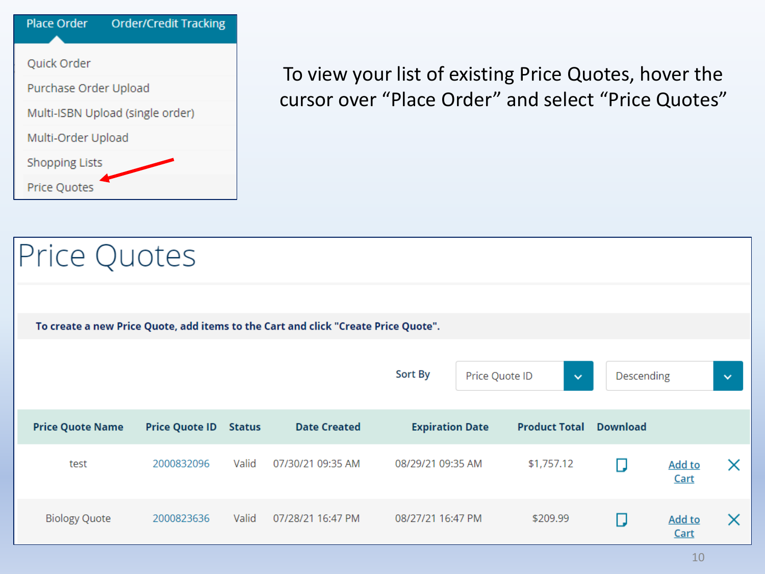

To view your list of existing Price Quotes, hover the cursor over "Place Order" and select "Price Quotes"

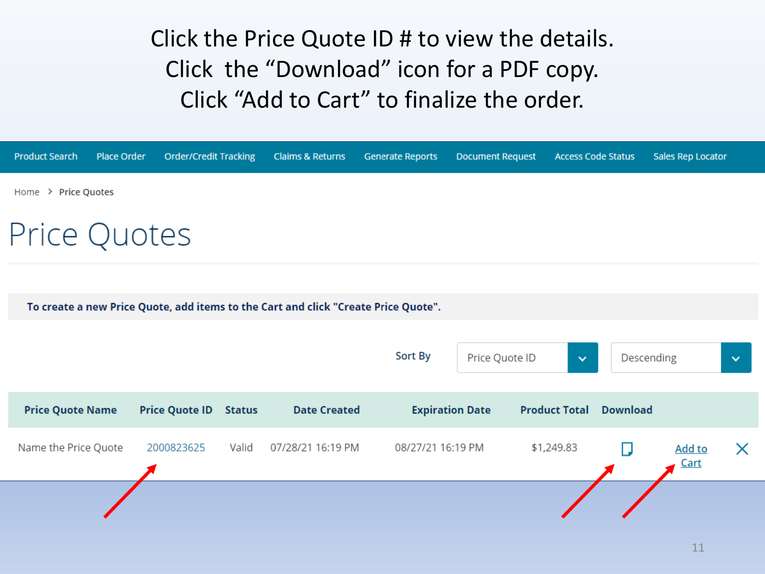Click the Price Quote ID # to view the details. Click the "Download" icon for a PDF copy. Click "Add to Cart" to finalize the order.

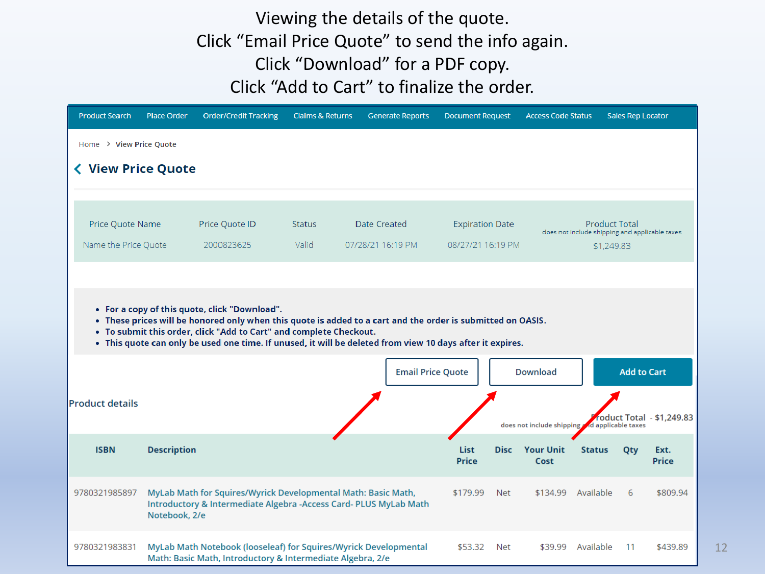#### Viewing the details of the quote. Click "Email Price Quote" to send the info again. Click "Download" for a PDF copy. Click "Add to Cart" to finalize the order.

| <b>Product Search</b>                    | <b>Place Order</b>                                                                                                                                                                                                                                                                                                                              | <b>Order/Credit Tracking</b>                                                                                                       | <b>Claims &amp; Returns</b> | <b>Generate Reports</b>                  | <b>Document Request</b>                     |             | <b>Access Code Status</b>                      |                                                                                      | <b>Sales Rep Locator</b> |                           |
|------------------------------------------|-------------------------------------------------------------------------------------------------------------------------------------------------------------------------------------------------------------------------------------------------------------------------------------------------------------------------------------------------|------------------------------------------------------------------------------------------------------------------------------------|-----------------------------|------------------------------------------|---------------------------------------------|-------------|------------------------------------------------|--------------------------------------------------------------------------------------|--------------------------|---------------------------|
| Home > View Price Quote                  |                                                                                                                                                                                                                                                                                                                                                 |                                                                                                                                    |                             |                                          |                                             |             |                                                |                                                                                      |                          |                           |
| <b>く View Price Quote</b>                |                                                                                                                                                                                                                                                                                                                                                 |                                                                                                                                    |                             |                                          |                                             |             |                                                |                                                                                      |                          |                           |
| Price Quote Name<br>Name the Price Quote |                                                                                                                                                                                                                                                                                                                                                 | Price Quote ID<br>2000823625                                                                                                       | <b>Status</b><br>Valid      | <b>Date Created</b><br>07/28/21 16:19 PM | <b>Expiration Date</b><br>08/27/21 16:19 PM |             |                                                | <b>Product Total</b><br>does not include shipping and applicable taxes<br>\$1,249.83 |                          |                           |
|                                          | • For a copy of this quote, click "Download".<br>. These prices will be honored only when this quote is added to a cart and the order is submitted on OASIS.<br>• To submit this order, click "Add to Cart" and complete Checkout.<br>. This quote can only be used one time. If unused, it will be deleted from view 10 days after it expires. |                                                                                                                                    |                             |                                          |                                             |             |                                                |                                                                                      |                          |                           |
|                                          |                                                                                                                                                                                                                                                                                                                                                 |                                                                                                                                    |                             | <b>Email Price Quote</b>                 |                                             |             | <b>Download</b>                                |                                                                                      | <b>Add to Cart</b>       |                           |
| <b>Product details</b>                   |                                                                                                                                                                                                                                                                                                                                                 |                                                                                                                                    |                             |                                          |                                             |             | does not include shipping and applicable taxes |                                                                                      |                          | roduct Total - \$1,249.83 |
| <b>ISBN</b>                              | <b>Description</b>                                                                                                                                                                                                                                                                                                                              |                                                                                                                                    |                             |                                          | <b>List</b><br><b>Price</b>                 | <b>Disc</b> | <b>Your Unit</b><br>Cost                       | <b>Status</b>                                                                        | Qty                      | Ext.<br>Price             |
| 9780321985897                            | Notebook, 2/e                                                                                                                                                                                                                                                                                                                                   | MyLab Math for Squires/Wyrick Developmental Math: Basic Math,<br>Introductory & Intermediate Algebra -Access Card- PLUS MyLab Math |                             |                                          | \$179.99                                    | <b>Net</b>  | \$134.99                                       | Available                                                                            | 6                        | \$809.94                  |
| 9780321983831                            |                                                                                                                                                                                                                                                                                                                                                 | MyLab Math Notebook (looseleaf) for Squires/Wyrick Developmental<br>Math: Basic Math, Introductory & Intermediate Algebra, 2/e     |                             |                                          | \$53.32                                     | Net         | \$39.99                                        | Available                                                                            | 11                       | \$439.89                  |

12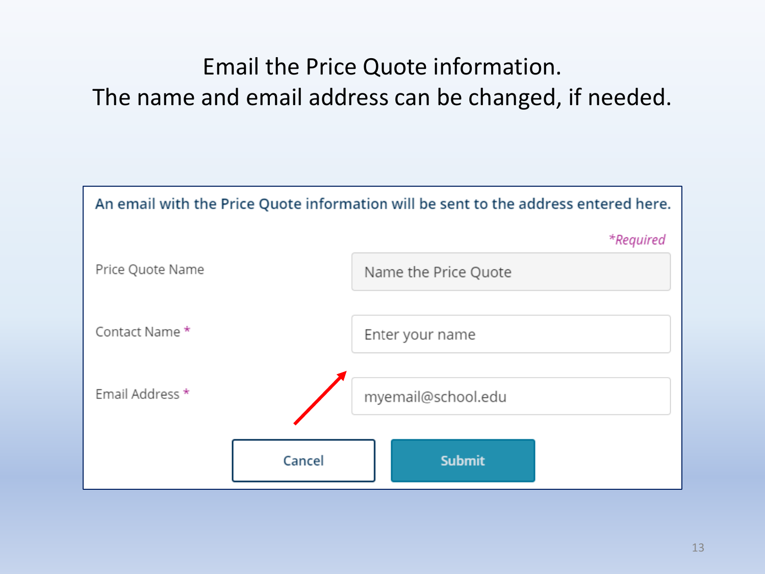# Email the Price Quote information. The name and email address can be changed, if needed.

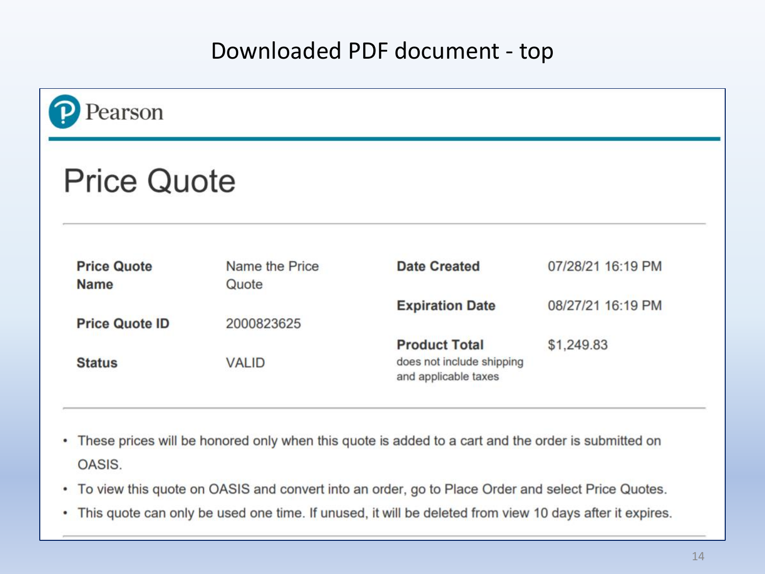### Downloaded PDF document - top

| <b>Price Quote</b>                |                         |                           |                   |  |  |  |  |  |
|-----------------------------------|-------------------------|---------------------------|-------------------|--|--|--|--|--|
|                                   |                         |                           |                   |  |  |  |  |  |
|                                   |                         |                           |                   |  |  |  |  |  |
| <b>Price Quote</b><br><b>Name</b> | Name the Price<br>Quote | <b>Date Created</b>       | 07/28/21 16:19 PM |  |  |  |  |  |
|                                   |                         | <b>Expiration Date</b>    | 08/27/21 16:19 PM |  |  |  |  |  |
| <b>Price Quote ID</b>             | 2000823625              |                           |                   |  |  |  |  |  |
|                                   |                         | <b>Product Total</b>      | \$1,249.83        |  |  |  |  |  |
|                                   | <b>VALID</b>            | does not include shipping |                   |  |  |  |  |  |

- These prices will be honored only when this quote is added to a cart and the order is submitted on OASIS.
- To view this quote on OASIS and convert into an order, go to Place Order and select Price Quotes.
- This quote can only be used one time. If unused, it will be deleted from view 10 days after it expires.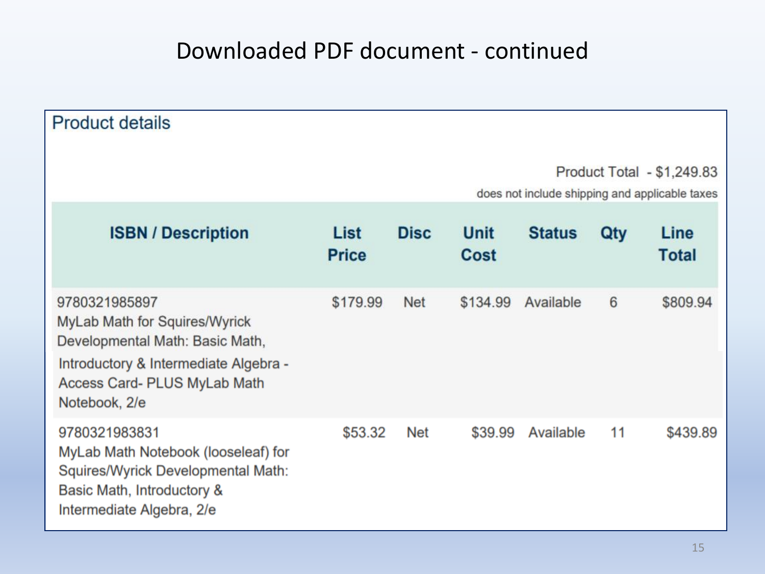# Downloaded PDF document - continued

| <b>Product details</b>                                                                                                                                                             |                      |                                                                              |                     |               |     |                      |  |
|------------------------------------------------------------------------------------------------------------------------------------------------------------------------------------|----------------------|------------------------------------------------------------------------------|---------------------|---------------|-----|----------------------|--|
|                                                                                                                                                                                    |                      | Product Total - \$1,249.83<br>does not include shipping and applicable taxes |                     |               |     |                      |  |
| <b>ISBN / Description</b>                                                                                                                                                          | List<br><b>Price</b> | <b>Disc</b>                                                                  | <b>Unit</b><br>Cost | <b>Status</b> | Qty | Line<br><b>Total</b> |  |
| 9780321985897<br>MyLab Math for Squires/Wyrick<br>Developmental Math: Basic Math,<br>Introductory & Intermediate Algebra -<br><b>Access Card- PLUS MyLab Math</b><br>Notebook, 2/e | \$179.99             | <b>Net</b>                                                                   | \$134.99            | Available     | 6   | \$809.94             |  |
| 9780321983831<br>MyLab Math Notebook (looseleaf) for<br>Squires/Wyrick Developmental Math:<br>Basic Math, Introductory &<br>Intermediate Algebra, 2/e                              | \$53.32              | Net                                                                          | \$39.99             | Available     | 11  | \$439.89             |  |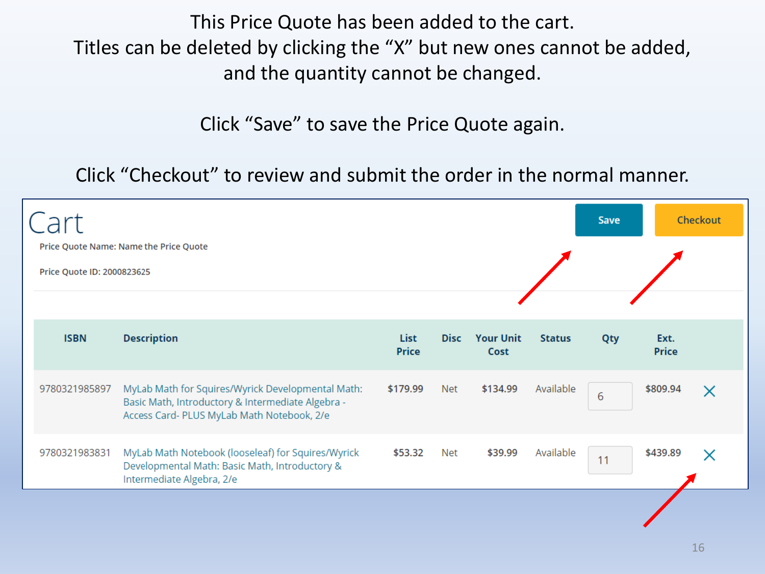This Price Quote has been added to the cart. Titles can be deleted by clicking the "X" but new ones cannot be added, and the quantity cannot be changed.

Click "Save" to save the Price Quote again.

Click "Checkout" to review and submit the order in the normal manner.

| Cart<br>Price Quote Name: Name the Price Quote<br>Price Quote ID: 2000823625 |               |                                                                                                                                                      |                      |             |                          |               | <b>Save</b> |                      | Checkout |
|------------------------------------------------------------------------------|---------------|------------------------------------------------------------------------------------------------------------------------------------------------------|----------------------|-------------|--------------------------|---------------|-------------|----------------------|----------|
|                                                                              | <b>ISBN</b>   | <b>Description</b>                                                                                                                                   | List<br><b>Price</b> | <b>Disc</b> | <b>Your Unit</b><br>Cost | <b>Status</b> | Qty         | Ext.<br><b>Price</b> |          |
|                                                                              | 9780321985897 | MyLab Math for Squires/Wyrick Developmental Math:<br>Basic Math, Introductory & Intermediate Algebra -<br>Access Card- PLUS MyLab Math Notebook, 2/e | \$179.99             | Net         | \$134.99                 | Available     | 6           | \$809.94             |          |
|                                                                              | 9780321983831 | MyLab Math Notebook (looseleaf) for Squires/Wyrick<br>Developmental Math: Basic Math, Introductory &<br>Intermediate Algebra, 2/e                    | \$53.32              | Net         | \$39.99                  | Available     | 11          | \$439.89             |          |
|                                                                              |               |                                                                                                                                                      |                      |             |                          |               |             |                      |          |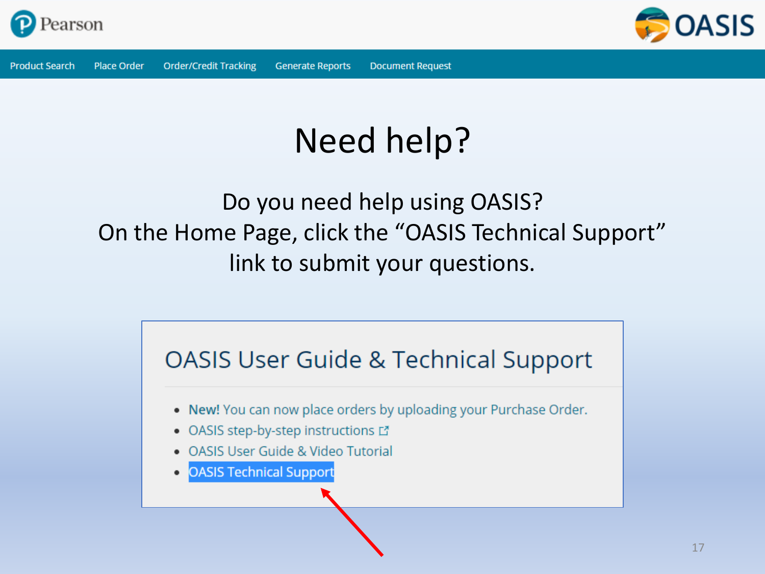



# Need help?

# Do you need help using OASIS? On the Home Page, click the "OASIS Technical Support" link to submit your questions.

# **OASIS User Guide & Technical Support** . New! You can now place orders by uploading your Purchase Order. • OASIS step-by-step instructions L' • OASIS User Guide & Video Tutorial **OASIS Technical Support**  $\bullet$